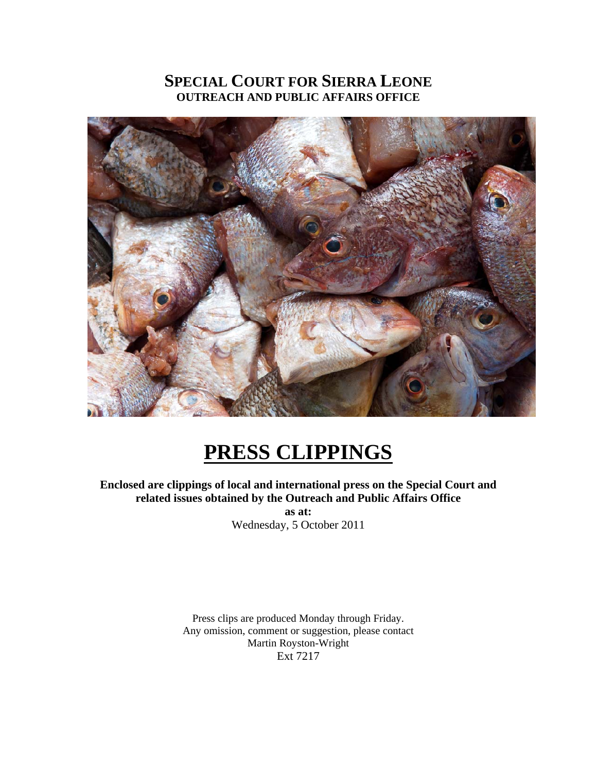#### **SPECIAL COURT FOR SIERRA LEONE OUTREACH AND PUBLIC AFFAIRS OFFICE**



## **PRESS CLIPPINGS**

**Enclosed are clippings of local and international press on the Special Court and related issues obtained by the Outreach and Public Affairs Office** 

**as at:**  Wednesday, 5 October 2011

Press clips are produced Monday through Friday. Any omission, comment or suggestion, please contact Martin Royston-Wright Ext 7217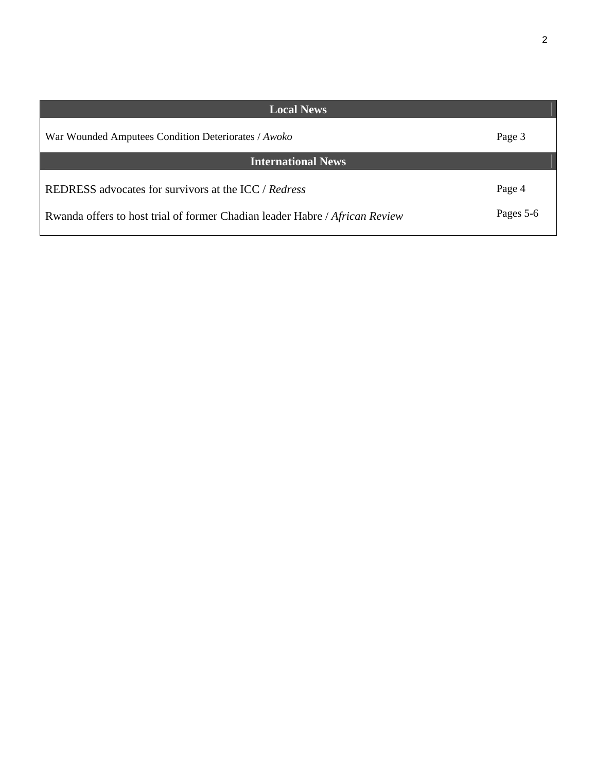| <b>Local News</b>                                                                                                                   |                     |
|-------------------------------------------------------------------------------------------------------------------------------------|---------------------|
| War Wounded Amputees Condition Deteriorates / Awoko                                                                                 | Page 3              |
| <b>International News</b>                                                                                                           |                     |
| REDRESS advocates for survivors at the ICC / Redress<br>Rwanda offers to host trial of former Chadian leader Habre / African Review | Page 4<br>Pages 5-6 |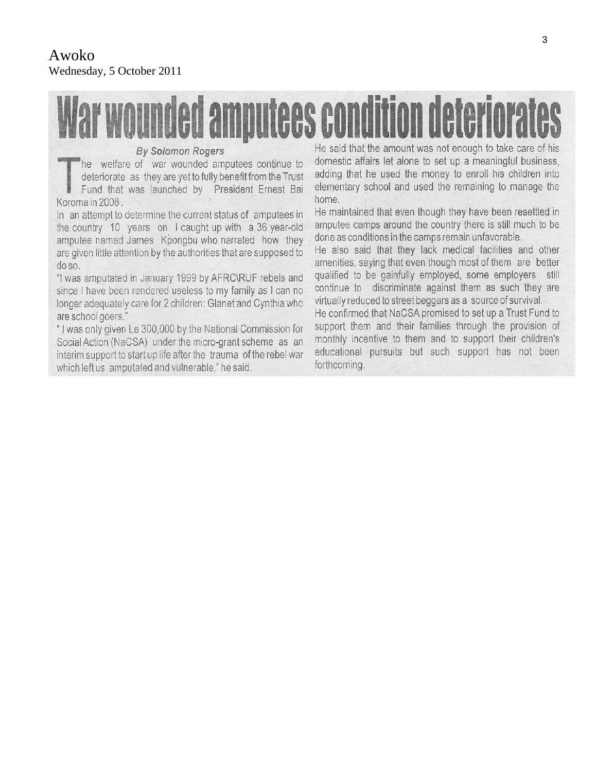# lar wounded amputees condition deteriorat

#### **By Solomon Rogers**

he welfare of war wounded amputees continue to deteriorate as they are yet to fully benefit from the Trust Fund that was launched by President Ernest Bai Koroma in 2008.

In an attempt to determine the current status of amputees in the country 10 years on I caught up with a 36 year-old amputee named James Kpongbu who narrated how they are given little attention by the authorities that are supposed to  $do$ so.

"I was amputated in January 1999 by AFRC\RUF rebels and since I have been rendered useless to my family as I can no longer adequately care for 2 children: Glanet and Cynthia who are school goers."

"I was only given Le 300,000 by the National Commission for Social Action (NaCSA) under the micro-grant scheme as an interim support to start up life after the trauma of the rebel war which left us amputated and vulnerable," he said.

He said that the amount was not enough to take care of his domestic affairs let alone to set up a meaningful business, adding that he used the money to enroll his children into elementary school and used the remaining to manage the home.

He maintained that even though they have been resettled in amputee camps around the country there is still much to be done as conditions in the camps remain unfavorable.

He also said that they lack medical facilities and other amenities, saying that even though most of them are better qualified to be gainfully employed, some employers still continue to discriminate against them as such they are virtually reduced to street beggars as a source of survival.

He confirmed that NaCSA promised to set up a Trust Fund to support them and their families through the provision of monthly incentive to them and to support their children's educational pursuits but such support has not been forthcoming.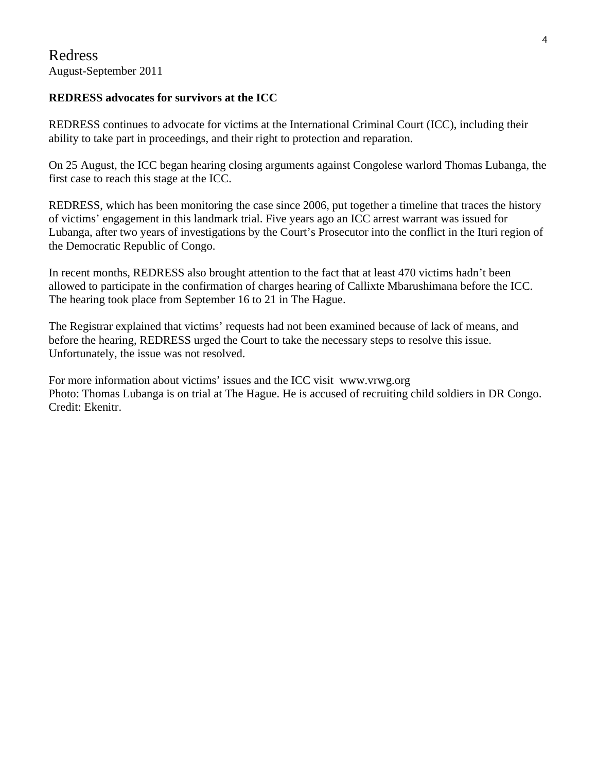#### **REDRESS advocates for survivors at the ICC**

REDRESS continues to advocate for victims at the International Criminal Court (ICC), including their ability to take part in proceedings, and their right to protection and reparation.

On 25 August, the ICC began hearing closing arguments against Congolese warlord Thomas Lubanga, the first case to reach this stage at the ICC.

REDRESS, which has been monitoring the case since 2006, put together a timeline that traces the history of victims' engagement in this landmark trial. Five years ago an ICC arrest warrant was issued for Lubanga, after two years of investigations by the Court's Prosecutor into the conflict in the Ituri region of the Democratic Republic of Congo.

In recent months, REDRESS also brought attention to the fact that at least 470 victims hadn't been allowed to participate in the confirmation of charges hearing of Callixte Mbarushimana before the ICC. The hearing took place from September 16 to 21 in The Hague.

The Registrar explained that victims' requests had not been examined because of lack of means, and before the hearing, REDRESS urged the Court to take the necessary steps to resolve this issue. Unfortunately, the issue was not resolved.

For more information about victims' issues and the ICC visit www.vrwg.org Photo: Thomas Lubanga is on trial at The Hague. He is accused of recruiting child soldiers in DR Congo. Credit: Ekenitr.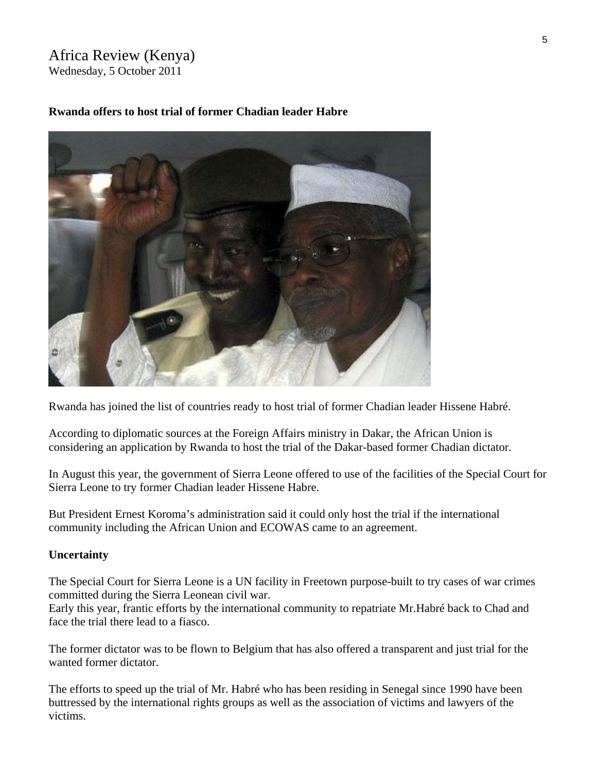### Africa Review (Kenya)

Wednesday, 5 October 2011



#### **Rwanda offers to host trial of former Chadian leader Habre**

Rwanda has joined the list of countries ready to host trial of former Chadian leader Hissene Habré.

According to diplomatic sources at the Foreign Affairs ministry in Dakar, the African Union is considering an application by Rwanda to host the trial of the Dakar-based former Chadian dictator.

In August this year, the government of Sierra Leone offered to use of the facilities of the Special Court for Sierra Leone to try former Chadian leader Hissene Habre.

But President Ernest Koroma's administration said it could only host the trial if the international community including the African Union and ECOWAS came to an agreement.

#### **Uncertainty**

The Special Court for Sierra Leone is a UN facility in Freetown purpose-built to try cases of war crimes committed during the Sierra Leonean civil war.

Early this year, frantic efforts by the international community to repatriate Mr.Habré back to Chad and face the trial there lead to a fiasco.

The former dictator was to be flown to Belgium that has also offered a transparent and just trial for the wanted former dictator.

The efforts to speed up the trial of Mr. Habré who has been residing in Senegal since 1990 have been buttressed by the international rights groups as well as the association of victims and lawyers of the victims.